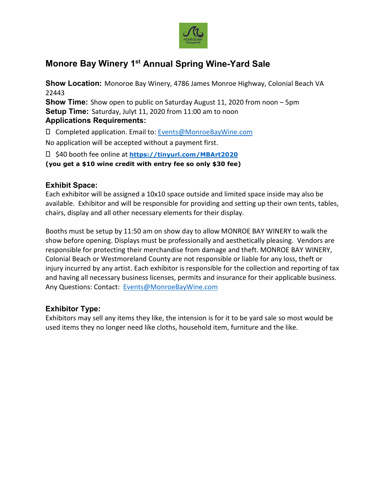

## **Monore Bay Winery 1st Annual Spring Wine-Yard Sale**

**Show Location:** Monoroe Bay Winery, 4786 James Monroe Highway, Colonial Beach VA 22443

**Show Time:** Show open to public on Saturday August 11, 2020 from noon – 5pm **Setup Time:** Saturday, Julyt 11, 2020 from 11:00 am to noon **Applications Requirements:**

Completed application. Email to: [Events@MonroeBayWine.com](mailto:Events@MonroeBayWine.com)

No application will be accepted without a payment first.

\$40 booth fee online at **<https://tinyurl.com/MBArt2020>**

**(you get a \$10 wine credit with entry fee so only \$30 fee)** 

## **Exhibit Space:**

Each exhibitor will be assigned a 10x10 space outside and limited space inside may also be available. Exhibitor and will be responsible for providing and setting up their own tents, tables, chairs, display and all other necessary elements for their display.

Booths must be setup by 11:50 am on show day to allow MONROE BAY WINERY to walk the show before opening. Displays must be professionally and aesthetically pleasing. Vendors are responsible for protecting their merchandise from damage and theft. MONROE BAY WINERY, Colonial Beach or Westmoreland County are not responsible or liable for any loss, theft or injury incurred by any artist. Each exhibitor is responsible for the collection and reporting of tax and having all necessary business licenses, permits and insurance for their applicable business. Any Questions: Contact: [Events@MonroeBayWine.com](mailto:Events@MonroeBayWine.com)

## **Exhibitor Type:**

Exhibitors may sell any items they like, the intension is for it to be yard sale so most would be used items they no longer need like cloths, household item, furniture and the like.